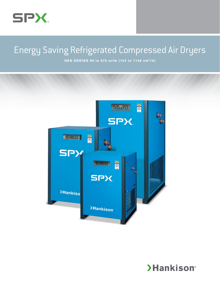

# Energy Saving Refrigerated Compressed Air Dryers

**HES SERIES 90 to 675 scfm (153 to 1148 nm3/h)**



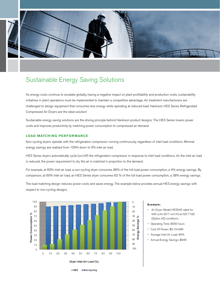

### Sustainable Energy Saving Solutions

As energy costs continue to escalate globally, having a negative impact on plant profitability and production costs, sustainability initiatives in plant operations must be implemented to maintain a competitive advantage. Air treatment manufacturers are challenged to design equipment that consumes less energy while operating at reduced load. Hankison HES Series Refrigerated Compressed Air Dryers are the ideal solution!

Sustainable energy saving solutions are the driving principle behind Hankison product designs. The HES Series lowers power costs and improves productivity by matching power consumption to compressed air demand.

### **LOAD MATCHING PERFORMANCE**

Non-cycling dryers operate with the refrigeration compressor running continuously, regardless of inlet load conditions. Minimal energy savings are realized from 100% down to 0% inlet air load.

HES Series dryers automatically cycle (on/off) the refrigeration compressor in response to inlet load conditions. As the inlet air load is reduced, the power requirement to dry the air is matched in proportion to the demand.

For example, at 60% inlet air load, a non-cycling dryer consumes 96% of the full load power consumption, a 4% energy savings. By comparison, at 60% inlet air load, an HES Series dryer consumes 62 % of the full load power consumption, a 38% energy savings.

The load matching design reduces power costs and saves energy. The example below provides annual HES energy savings with respect to non-cycling designs.



**Non-Cycling** 

 $HES$ 

### **Example:**

- • Air Dryer: Model HES540 rated for 540 scfm (917 nm3/h) at ISO 7183 (Option A2) conditions
- Operating Time: 8000 hours
- Cost Of Power: \$0.10/kWh
- Average Inlet Air Load: 60%
- Annual Energy Savings: \$946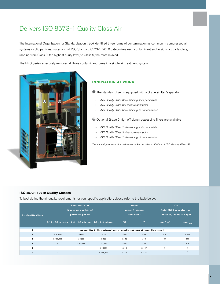## Delivers ISO 8573-1 Quality Class Air

The International Organization for Standardization (ISO) identified three forms of contamination as common in compressed air systems - solid particles, water and oil. ISO Standard 8573-1: 2010 categorizes each contaminant and assigns a quality class, ranging from Class 0, the highest purity level, to Class 9, the most relaxed.

The HES Series effectively removes all three contaminant forms in a single air treatment system.



### **INNOVATION AT WORK**

**1** The standard dryer is equipped with a Grade 9 filter/separator

- » *ISO Quality Class 3: Remaining solid particulate*
- » *ISO Quality Class 5: Pressure dew point*
- » *ISO Quality Class 5: Remaining oil concentration*

<sup>2</sup> Optional Grade 5 high efficiency coalescing filters are available

- » *ISO Quality Class 1: Remaining solid particulate*
- » *ISO Quality Class 5: Pressure dew point*
- » *ISO Quality Class 1: Remaining oil concentration*

*The annual purchase of a maintenance kit provides a lifetime of ISO Quality Class Air.*

### **ISO 8573-1: 2010 Quality Classes**

To best define the air quality requirements for your specific application, please refer to the table below.

|                          |                                        | <b>Solid Particles</b>       |                                                                                | Water        | Oil                   |                                 |                    |  |
|--------------------------|----------------------------------------|------------------------------|--------------------------------------------------------------------------------|--------------|-----------------------|---------------------------------|--------------------|--|
| <b>Air Quality Class</b> |                                        | Maximum number of            |                                                                                |              | <b>Vapor Pressure</b> | <b>Total Oil Concentration:</b> |                    |  |
|                          |                                        | particles per m <sup>3</sup> |                                                                                |              | <b>Dew Point</b>      | Aerosol, Liquid & Vapor         |                    |  |
|                          | $0.10 - 0.5$ micron $0.5 - 1.0$ micron |                              | $1.0 - 5.0$ micron                                                             | $^{\circ}$ C | $\mathsf{P}$          | mg/m <sup>3</sup>               | ppm <sub>w/w</sub> |  |
| $\mathbf 0$              |                                        |                              | --                                                                             |              |                       |                                 |                    |  |
|                          |                                        |                              | As specified by the equipment user or supplier and more stringent than class 1 |              |                       |                                 |                    |  |
| 1                        | $\leq 20,000$                          | $\leq 400$                   | $\leq 10$                                                                      | $\leq$ -70   | $\leq -94$            | 0.01                            | 0.008              |  |
| $\mathbf{2}$             | $\leq 400,000$                         | $\leq 6,000$                 | $\leq 100$                                                                     | $\leq -40$   | $\leq -40$            | 0.1                             | 0.08               |  |
| $\mathbf{3}$             | $\sim$                                 | $\leq 90,000$                | $\leq 1,000$                                                                   | $\leq$ -20   | $\leq -4$             |                                 | 0.8                |  |
| 4                        | ×.                                     | $\sim$                       | $\leq 10,000$                                                                  | $\leq$ +3    | $\leq$ +37            | 5                               | $\overline{4}$     |  |
| 5                        | $\sim$                                 | $\sim$                       | $\leq 100,000$                                                                 | $\leq$ +7    | $\leq$ +45            | ۰.                              | ٠                  |  |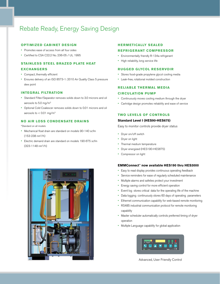### Rebate Ready, Energy Saving Design

### **OPTIMIZED CABINET DESIGN**

- Promotes ease of access from all four sides
- • Certified to CSA C22.2 No. 236-05 / UL 1995

### **STAINLESS STEEL BRAZED PLATE HEAT**

### **EXCHANGERS**

- Compact, thermally efficient
- • Ensures delivery of an ISO 8573-1: 2010 Air Quality Class 5 pressure dew point

### **INTEGRAL FILTRATION**

- Standard Filter/Separator removes solids down to 3.0 microns and oil aerosols to 5.0 mg/m3
- • Optional Cold Coalescer removes solids down to 0.01 microns and oil aerosols to  $< 0.01$  mg/m<sup>3</sup>

### **NO AIR LOSS CONDENSATE DRAINS**

### \*Standard on all models

- Mechanical float drain are standard on models 90-140 scfm (153-238 nm3/h)
- • Electric demand drain are standard on models 190-675 scfm (323-1148 nm3/h)

### **HERMETICALLY SEALED**

### **REFRIGERANT COMPRESSOR**

- • Environmentally friendly R-134a refrigerant
- High reliability, long service life

### **RUGGED GLYCOL RESERVOIR**

- Stores food-grade propylene glycol cooling media
- • Leak-free, rotational molded construction

### **RELIABLE THERMAL MEDIA CIRCULATION PUMP**

- Continuously moves cooling medium through the dryer
- • Cartridge design promotes reliability and ease of service

### **TWO LEVELS OF CONTROLS**

### **Standard Level I (HES90-HES675)**

Easy to monitor controls provide dryer status

- Dryer on/off switch
- Dryer on light
- Thermal medium temperature
- • Dryer energized (HES190-HES675)
- Compressor on light

### **EMMConnect™ now available HES190 thru HES3000**

- Easy to read display provides continuous operating feedback
- Service reminders for ease of regularly scheduled maintenance
- • Multiple alarms and safeties protect your investment
- Energy saving control for more efficient operation
- Event log stores critical data for the operating life of the machine
- Data logging continuously stores 60 days of operating parameters
- Ethernet communication capability for web-based remote monitoring
- • RS485 industrial communication protocol for remote monitoring capability
- Master scheduler automatically controls preferred timing of dryer operation
- Multiple Language capability for global application



Advanced, User Friendly Control

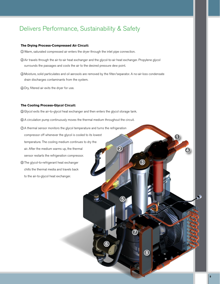### Delivers Performance, Sustainability & Safety

### **The Drying Process-Compressed Air Circuit:**

- Ê Warm, saturated compressed air enters the dryer through the inlet pipe connection.
- Ë Air travels through the air-to-air heat exchanger and the glycol-to-air heat exchanger. Propylene glycol surrounds the passages and cools the air to the desired pressure dew point.
- Ì Moisture, solid particulates and oil aerosols are removed by the filter/separator. A no-air-loss condensate drain discharges contaminants from the system.
- Í Dry, filtered air exits the dryer for use.

### **The Cooling Process-Glycol Circuit:**

- Î Glycol exits the air-to-glycol heat exchanger and then enters the glycol storage tank.
- © A circulation pump continuously moves the thermal medium throughout the circuit.
- Ð A thermal sensor monitors the glycol temperature and turns the refrigeration compressor off whenever the glycol is cooled to its lowest temperature. The cooling medium continues to dry the air. After the medium warms up, the thermal sensor restarts the refrigeration compressor. Ñ The glycol-to-refrigerant heat exchanger  $\bigcirc$
- chills the thermal media and travels back to the air-to-glycol heat exchanger.

Ê

4

 $\bigcirc$ 

 $\bigcirc$ 

 $\bigcirc$ 

Ñ

 $\bigcirc$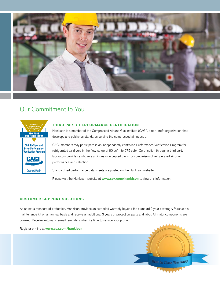

### Our Commitment to You



### **THIRD PARTY PERFORMANCE CERTIFICATION**

Hankison is a member of the Compressed Air and Gas Institute (CAGI), a non-profit organization that develops and publishes standards serving the compressed air industry.

CAGI members may participate in an independently controlled Performance Verification Program for refrigerated air dryers in the flow range of 90 scfm to 675 scfm. Certification through a third party laboratory provides end-users an industry accepted basis for comparison of refrigerated air dryer performance and selection.

Standardized performance data sheets are posted on the Hankison website.

Please visit the Hankison website at **www.spx.com/hankison** to view this information.

### **CUSTOMER SUPPORT SOLUTIONS**

As an extra measure of protection, Hankison provides an extended warranty beyond the standard 2 year coverage. Purchase a maintenance kit on an annual basis and receive an additional 3 years of protection, parts and labor. All major components are covered. Receive automatic e-mail reminders when it's time to service your product.

Register on-line at **www.spx.com/hankison**

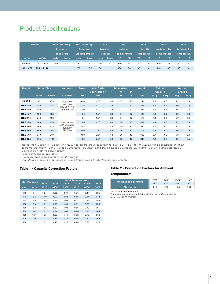### Product Specifications

| <b>Model</b><br>Max. Working |                    | Max. Working |                          | Min.                     |                 | Max.            |         | Min.        |                  | Max.         |                  | Min.               |                    |              |                    |  |
|------------------------------|--------------------|--------------|--------------------------|--------------------------|-----------------|-----------------|---------|-------------|------------------|--------------|------------------|--------------------|--------------------|--------------|--------------------|--|
|                              |                    |              | <b>Pressure</b>          |                          | <b>Pressure</b> |                 | Working |             | <b>Inlet Air</b> |              | <b>Inlet Air</b> |                    | <b>Ambient Air</b> |              | <b>Ambient Air</b> |  |
|                              |                    |              | (Float Drain)            | (Electric Drain)         |                 | <b>Pressure</b> |         | Temperature |                  | Temperature, |                  | <b>Temperature</b> |                    | 'Temperature |                    |  |
| scfm                         | nm <sup>3</sup> /h | psig         | barg                     | psig                     | barg            | psig            | barg    | .°F         | $^{\circ}$ C     | °F           | $^{\circ}$ C     | °F                 | $^{\circ}$ C       | $^{\circ}$ F | $\mathbf{C}$       |  |
| $90 - 140$                   | $153 - 238$        | 250          | 17.2                     | $\overline{\phantom{a}}$ | ۰.              | 30              | 2.1     | 130         | 54               | 40           | 4                | 110                | 43                 | 40           | 4                  |  |
| $190 - 675$                  | $323 - 1148$       | ٠            | $\overline{\phantom{a}}$ | 232                      | 16.0            | 30              | 2.1     | 130         | 54               | 40           | $\overline{4}$   | 110                | 43                 | 40           | 4                  |  |

| <b>Model</b>  | <b>Rated Flow</b> |                    | <b>Voltages</b>                          | Power     | Inlet/Outlet      | <b>Dimensions</b> |    | Weight | Std $\Delta$ p <sup>3</sup> |         | Opt $\Delta p^4$ |      |         |
|---------------|-------------------|--------------------|------------------------------------------|-----------|-------------------|-------------------|----|--------|-----------------------------|---------|------------------|------|---------|
|               |                   |                    |                                          |           | <b>Connection</b> | н                 | W  | D      |                             | Grade 9 |                  |      | Grade 5 |
|               | scfm              | nm <sup>3</sup> /h | V/ph/Hz                                  | <b>kW</b> | <b>NPT</b>        |                   | in | in.    | <b>Ibs</b>                  | psig    | barg             | psig | barg    |
| <b>HES90</b>  |                   |                    |                                          |           |                   |                   |    |        |                             |         |                  |      |         |
|               | 90                | 153                | 100/1/50                                 | 0.95      | 1.0"              | 38                | 27 | 20     | 241                         | 2.9     | 0.2              | 4.1  | 0.3     |
| <b>HES120</b> | 120               | 204                | 115/1/60<br>208-230/1/60<br>220-240/1/50 | 1.28      | 1.0"              | 38                | 27 | 20     | 258                         | 3.7     | 0.3              | 5.0  | 0.3     |
| <b>HES140</b> | 140               | 238                |                                          | 1.29      | 1.0"              | 38                | 27 | 20     | 263                         | 4.1     | 0.3              | 5.5  | 0.4     |
| <b>HES190</b> | 190               | 323                |                                          | 1.36      | 1.5"              | 39                | 34 | 32     | 408                         | 3.3     | 0.2              | 4.6  | 0.3     |
| <b>HES240</b> | 240               | 408                |                                          | 1.94      | 1.5"              | 39                | 34 | 32     | 478                         | 4.4     | 0.3              | 5.7  | 0.4     |
| <b>HES280</b> | 280               | 476                | 208-230/3/60                             | 1.95      | 1.5"              | 46                | 35 | 32     | 497                         | 4.4     | 0.3              | 5.7  | 0.4     |
| <b>HES360</b> | 360               | 612                | 380-420/3/50<br>460/3/60<br>575/3/60     | 2.07      | 2.0"              | 46                | 35 | 32     | 540                         | 3.0     | 0.2              | 4.1  | 0.3     |
| <b>HES450</b> | 450               | 765                |                                          | 2.49      | 2.5"              | 58                | 35 | 42     | 708                         | 3.6     | 0.2              | 4.9  | 0.3     |
| <b>HES540</b> | 540               | 918                |                                          | 3.08      | 2.5"              | 58                | 35 | 42     | 793                         | 3.7     | 0.3              | 5.3  | 0.4     |
| <b>HES675</b> | 675               | 1148               |                                          | 4.35      | 2.5"              | 58                | 35 | 42     | 844                         | 4.3     | 0.3              | 6.6  | 0.5     |

*1 Rated Flow Capacity - Conditions for rating dryers are in accordance with ISO 7183 (option A2) working conditions: inlet air temperature 100ºF (38ºC) , inlet air pressure 100 psig (6.9 bar) , ambient air temperature 100ºF (38ºC) , 100% saturated air, operating on 60 Hz power supply.*

*2 BSP connections available*

*3 Pressure drop inclusive of integral filtration*

*4 Cumulative pressure drop includes Grade 9 and Grade 5 filter/separator elements*

|      | <b>Inlet Pressure</b> | <b>Inlet Temperature</b> |                |                |                 |                |                |  |  |  |  |
|------|-----------------------|--------------------------|----------------|----------------|-----------------|----------------|----------------|--|--|--|--|
|      |                       | 80°F                     | $90^{\circ}F$  | 100°F          | $110^{\circ}$ F | 120°F          | $130^\circ$ F  |  |  |  |  |
| psig | barg                  | $27^{\circ}$ C           | $32^{\circ}$ C | $38^{\circ}$ C | $43^{\circ}$ C  | $49^{\circ}$ C | $54^{\circ}$ C |  |  |  |  |
|      |                       |                          |                |                |                 |                |                |  |  |  |  |
| 30   | 2.1                   | 1.24                     | 0.92           | 0.71           | 0.56            | 0.44           | 0.35           |  |  |  |  |
| 50   | 3.4                   | 1.40                     | 1.07           | 0.83           | 0.66            | 0.54           | 0.44           |  |  |  |  |
| 80   | 5.6                   | 1.55                     | 1.19           | 0.95           | 0.77            | 0.63           | 0.52           |  |  |  |  |
| 100  | 6.9                   | 1.61                     | 1.25           | 1.00           | 0.82            | 0.68           | 0.56           |  |  |  |  |
| 125  | 8.6                   | 1.67                     | 1.30           | 1.05           | 0.86            | 0.72           | 0.61           |  |  |  |  |
| 150  | 10.3                  | 1.71                     | 1.34           | 1.08           | 0.90            | 0.75           | 0.64           |  |  |  |  |
| 175  | 12.1                  | 1.75                     | 1.37           | 1.11           | 0.92            | 0.78           | 0.66           |  |  |  |  |
| 200  | 13.8                  | 1.77                     | 1.39           | 1.14           | 0.95            | 0.80           | 0.68           |  |  |  |  |
| 250  | 17.2                  | 1.81                     | 1.43           | 1.17           | 0.98            | 0.83           | 0.72           |  |  |  |  |

### **Table 1 - Capacity Correction Factors Table 2 - Correction Factors for Ambient**

### **Temperature\***

|                     | $80^{\circ}$ F | $90^{\circ}$ F | 100°F          | $110^{\circ}$ F |
|---------------------|----------------|----------------|----------------|-----------------|
| Ambient Temperature | $27^{\circ}$ C | $32^{\circ}$ C | $38^{\circ}$ C | $43^{\circ}$ C  |
| <b>Multiplier</b>   | 1.12           | 1.06           | 1.00           | 0.94            |

*\*Air-cooled models only. For water-cooled use a 1.15 multiplier if cooling water is less than 95°F (35°C).*